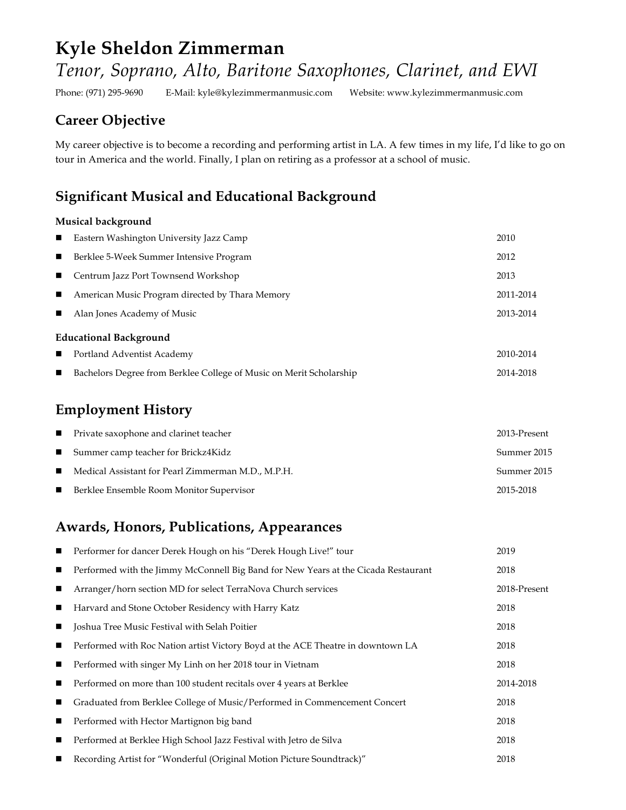# **Kyle Sheldon Zimmerman** *Tenor, Soprano, Alto, Baritone Saxophones, Clarinet, and EWI*

Phone: (971) 295-9690 E-Mail: kyle@kylezimmermanmusic.com Website: www.kylezimmermanmusic.com

### **Career Objective**

My career objective is to become a recording and performing artist in LA. A few times in my life, I'd like to go on tour in America and the world. Finally, I plan on retiring as a professor at a school of music.

### **Significant Musical and Educational Background**

#### **Musical background**

| $\mathbf{r}$                  | Eastern Washington University Jazz Camp                             | 2010      |  |  |
|-------------------------------|---------------------------------------------------------------------|-----------|--|--|
| $\blacksquare$                | Berklee 5-Week Summer Intensive Program                             | 2012      |  |  |
|                               | Centrum Jazz Port Townsend Workshop                                 | 2013      |  |  |
| $\blacksquare$                | American Music Program directed by Thara Memory                     | 2011-2014 |  |  |
| $\blacksquare$                | Alan Jones Academy of Music                                         | 2013-2014 |  |  |
| <b>Educational Background</b> |                                                                     |           |  |  |
|                               | Portland Adventist Academy                                          | 2010-2014 |  |  |
|                               | Bachelors Degree from Berklee College of Music on Merit Scholarship | 2014-2018 |  |  |

## **Employment History**

| ■ Private saxophone and clarinet teacher                          | 2013-Present |
|-------------------------------------------------------------------|--------------|
| ■ Summer camp teacher for Brickz4Kidz                             | Summer 2015  |
| $\blacksquare$ Medical Assistant for Pearl Zimmerman M.D., M.P.H. | Summer 2015  |
| ■ Berklee Ensemble Room Monitor Supervisor                        | 2015-2018    |

### **Awards, Honors, Publications, Appearances**

|   | Performer for dancer Derek Hough on his "Derek Hough Live!" tour                   | 2019         |
|---|------------------------------------------------------------------------------------|--------------|
| п | Performed with the Jimmy McConnell Big Band for New Years at the Cicada Restaurant | 2018         |
| п | Arranger/horn section MD for select TerraNova Church services                      | 2018-Present |
| п | Harvard and Stone October Residency with Harry Katz                                | 2018         |
| ш | Joshua Tree Music Festival with Selah Poitier                                      | 2018         |
| п | Performed with Roc Nation artist Victory Boyd at the ACE Theatre in downtown LA    | 2018         |
| ш | Performed with singer My Linh on her 2018 tour in Vietnam                          | 2018         |
| п | Performed on more than 100 student recitals over 4 years at Berklee                | 2014-2018    |
| ш | Graduated from Berklee College of Music/Performed in Commencement Concert          | 2018         |
| ш | Performed with Hector Martignon big band                                           | 2018         |
| п | Performed at Berklee High School Jazz Festival with Jetro de Silva                 | 2018         |
| ■ | Recording Artist for "Wonderful (Original Motion Picture Soundtrack)"              | 2018         |